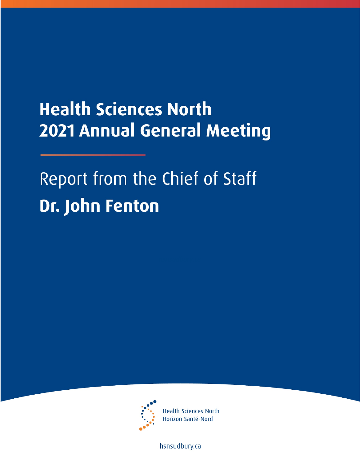## **Health Sciences North 2021 Annual General Meeting**

## Report from the Chief of Staff **Dr. John Fenton**



**Health Sciences North** Horizon Santé-Nord

hsnsudbury.ca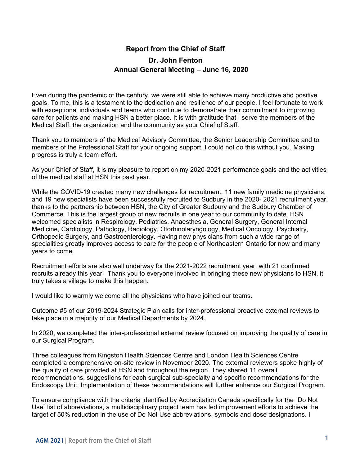## **Report from the Chief of Staff Dr. John Fenton Annual General Meeting – June 16, 2020**

Even during the pandemic of the century, we were still able to achieve many productive and positive goals. To me, this is a testament to the dedication and resilience of our people. I feel fortunate to work with exceptional individuals and teams who continue to demonstrate their commitment to improving care for patients and making HSN a better place. It is with gratitude that I serve the members of the Medical Staff, the organization and the community as your Chief of Staff.

Thank you to members of the Medical Advisory Committee, the Senior Leadership Committee and to members of the Professional Staff for your ongoing support. I could not do this without you. Making progress is truly a team effort.

As your Chief of Staff, it is my pleasure to report on my 2020-2021 performance goals and the activities of the medical staff at HSN this past year.

While the COVID-19 created many new challenges for recruitment, 11 new family medicine physicians, and 19 new specialists have been successfully recruited to Sudbury in the 2020- 2021 recruitment year, thanks to the partnership between HSN, the City of Greater Sudbury and the Sudbury Chamber of Commerce. This is the largest group of new recruits in one year to our community to date. HSN welcomed specialists in Respirology, Pediatrics, Anaesthesia, General Surgery, General Internal Medicine, Cardiology, Pathology, Radiology, Otorhinolaryngology, Medical Oncology, Psychiatry, Orthopedic Surgery, and Gastroenterology. Having new physicians from such a wide range of specialities greatly improves access to care for the people of Northeastern Ontario for now and many years to come.

Recruitment efforts are also well underway for the 2021-2022 recruitment year, with 21 confirmed recruits already this year! Thank you to everyone involved in bringing these new physicians to HSN, it truly takes a village to make this happen.

I would like to warmly welcome all the physicians who have joined our teams.

Outcome #5 of our 2019-2024 Strategic Plan calls for inter-professional proactive external reviews to take place in a majority of our Medical Departments by 2024.

In 2020, we completed the inter-professional external review focused on improving the quality of care in our Surgical Program.

Three colleagues from Kingston Health Sciences Centre and London Health Sciences Centre completed a comprehensive on-site review in November 2020. The external reviewers spoke highly of the quality of care provided at HSN and throughout the region. They shared 11 overall recommendations, suggestions for each surgical sub-specialty and specific recommendations for the Endoscopy Unit. Implementation of these recommendations will further enhance our Surgical Program.

To ensure compliance with the criteria identified by Accreditation Canada specifically for the "Do Not Use" list of abbreviations, a multidisciplinary project team has led improvement efforts to achieve the target of 50% reduction in the use of Do Not Use abbreviations, symbols and dose designations. I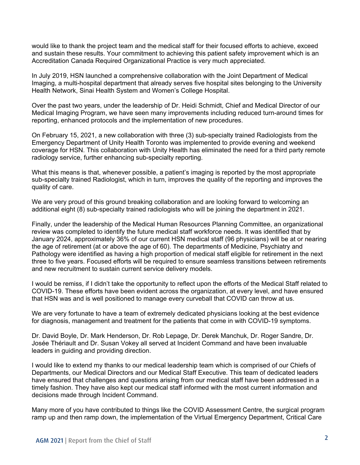would like to thank the project team and the medical staff for their focused efforts to achieve, exceed and sustain these results. Your commitment to achieving this patient safety improvement which is an Accreditation Canada Required Organizational Practice is very much appreciated.

In July 2019, HSN launched a comprehensive collaboration with the Joint Department of Medical Imaging, a multi-hospital department that already serves five hospital sites belonging to the University Health Network, Sinai Health System and Women's College Hospital.

Over the past two years, under the leadership of Dr. Heidi Schmidt, Chief and Medical Director of our Medical Imaging Program, we have seen many improvements including reduced turn-around times for reporting, enhanced protocols and the implementation of new procedures.

On February 15, 2021, a new collaboration with three (3) sub-specialty trained Radiologists from the Emergency Department of Unity Health Toronto was implemented to provide evening and weekend coverage for HSN. This collaboration with Unity Health has eliminated the need for a third party remote radiology service, further enhancing sub-specialty reporting.

What this means is that, whenever possible, a patient's imaging is reported by the most appropriate sub-specialty trained Radiologist, which in turn, improves the quality of the reporting and improves the quality of care.

We are very proud of this ground breaking collaboration and are looking forward to welcoming an additional eight (8) sub-specialty trained radiologists who will be joining the department in 2021.

Finally, under the leadership of the Medical Human Resources Planning Committee, an organizational review was completed to identify the future medical staff workforce needs. It was identified that by January 2024, approximately 36% of our current HSN medical staff (96 physicians) will be at or nearing the age of retirement (at or above the age of 60). The departments of Medicine, Psychiatry and Pathology were identified as having a high proportion of medical staff eligible for retirement in the next three to five years. Focused efforts will be required to ensure seamless transitions between retirements and new recruitment to sustain current service delivery models.

I would be remiss, if I didn't take the opportunity to reflect upon the efforts of the Medical Staff related to COVID-19. These efforts have been evident across the organization, at every level, and have ensured that HSN was and is well positioned to manage every curveball that COVID can throw at us.

We are very fortunate to have a team of extremely dedicated physicians looking at the best evidence for diagnosis, management and treatment for the patients that come in with COVID-19 symptoms.

Dr. David Boyle, Dr. Mark Henderson, Dr. Rob Lepage, Dr. Derek Manchuk, Dr. Roger Sandre, Dr. Josée Thériault and Dr. Susan Vokey all served at Incident Command and have been invaluable leaders in guiding and providing direction.

I would like to extend my thanks to our medical leadership team which is comprised of our Chiefs of Departments, our Medical Directors and our Medical Staff Executive. This team of dedicated leaders have ensured that challenges and questions arising from our medical staff have been addressed in a timely fashion. They have also kept our medical staff informed with the most current information and decisions made through Incident Command.

Many more of you have contributed to things like the COVID Assessment Centre, the surgical program ramp up and then ramp down, the implementation of the Virtual Emergency Department, Critical Care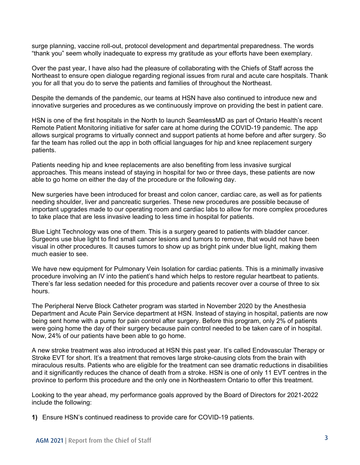surge planning, vaccine roll-out, protocol development and departmental preparedness. The words "thank you" seem wholly inadequate to express my gratitude as your efforts have been exemplary.

Over the past year, I have also had the pleasure of collaborating with the Chiefs of Staff across the Northeast to ensure open dialogue regarding regional issues from rural and acute care hospitals. Thank you for all that you do to serve the patients and families of throughout the Northeast.

Despite the demands of the pandemic, our teams at HSN have also continued to introduce new and innovative surgeries and procedures as we continuously improve on providing the best in patient care.

HSN is one of the first hospitals in the North to launch SeamlessMD as part of Ontario Health's recent Remote Patient Monitoring initiative for safer care at home during the COVID-19 pandemic. The app allows surgical programs to virtually connect and support patients at home before and after surgery. So far the team has rolled out the app in both official languages for hip and knee replacement surgery patients.

Patients needing hip and knee replacements are also benefiting from less invasive surgical approaches. This means instead of staying in hospital for two or three days, these patients are now able to go home on either the day of the procedure or the following day.

New surgeries have been introduced for breast and colon cancer, cardiac care, as well as for patients needing shoulder, liver and pancreatic surgeries. These new procedures are possible because of important upgrades made to our operating room and cardiac labs to allow for more complex procedures to take place that are less invasive leading to less time in hospital for patients.

Blue Light Technology was one of them. This is a surgery geared to patients with bladder cancer. Surgeons use blue light to find small cancer lesions and tumors to remove, that would not have been visual in other procedures. It causes tumors to show up as bright pink under blue light, making them much easier to see.

We have new equipment for Pulmonary Vein Isolation for cardiac patients. This is a minimally invasive procedure involving an IV into the patient's hand which helps to restore regular heartbeat to patients. There's far less sedation needed for this procedure and patients recover over a course of three to six hours.

The Peripheral Nerve Block Catheter program was started in November 2020 by the Anesthesia Department and Acute Pain Service department at HSN. Instead of staying in hospital, patients are now being sent home with a pump for pain control after surgery. Before this program, only 2% of patients were going home the day of their surgery because pain control needed to be taken care of in hospital. Now, 24% of our patients have been able to go home.

A new stroke treatment was also introduced at HSN this past year. It's called Endovascular Therapy or Stroke EVT for short. It's a treatment that removes large stroke-causing clots from the brain with miraculous results. Patients who are eligible for the treatment can see dramatic reductions in disabilities and it significantly reduces the chance of death from a stroke. HSN is one of only 11 EVT centres in the province to perform this procedure and the only one in Northeastern Ontario to offer this treatment.

Looking to the year ahead, my performance goals approved by the Board of Directors for 2021-2022 include the following:

**1)** Ensure HSN's continued readiness to provide care for COVID-19 patients.